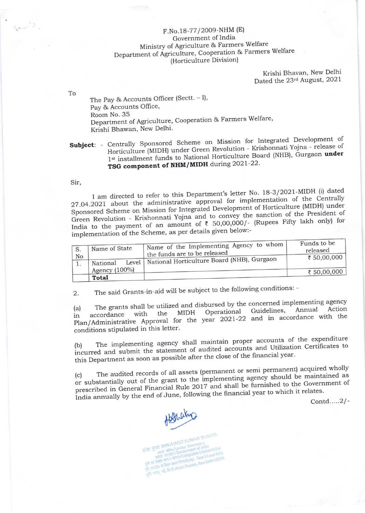## F.No.18-77/2009-NHM (E) Government of India Ministry of Agriculture & Farmers Welfare Department of Agriculture, Cooperation & Farmers Welfare (Horticulture Division)

Krishi Bhavan, New Delhi Dated the 23rd August, 2021

The Pay & Accounts Officer (Sectt. - I), Pay & Accounts Office, Room No. 35 Department of Agriculture, Cooperation & Farmers Welfare, Krishi Bhawan, New Delhi.

## Subject: - Centrally Sponsored Scheme on Mission for Integrated Development of Horticulture (MIDH) under Green Revolution - Krishonnati Yojna - release of 1st installment funds to National Horticulture Board (NHB), Gurgaon under TSG component of NHM/MIDH during 2021-22.

Sir,

To

 $\label{eq:2} \begin{pmatrix} \hat{\gamma} & \hat{\gamma} \\ \hat{\gamma} & \hat{\gamma} \end{pmatrix}$ 

I am directed to refer to this Department's letter No. 18-3/2021-MIDH (i) dated 27.04.2021 about the administrative approval for implementation of the Centrally Sponsored Scheme on Mission for Integrated Development of Horticulture (MIDH) under Green Revolution - Krishonnati Yojna and to convey the sanction of the President of India to the payment of an amount of  $\bar{\tau}$  50,00,000/- (Rupees Fifty lakh only) for implementation of the Scheme, as per details given below:-

| S.<br>No<br>1. | Name of State    | Name of the Implementing Agency to whom<br>the funds are to be released | Funds to be<br>released<br>₹ 50,00,000 |
|----------------|------------------|-------------------------------------------------------------------------|----------------------------------------|
|                | National         | Level   National Horticulture Board (NHB), Gurgaon                      |                                        |
|                | Agency $(100\%)$ |                                                                         | ₹ 50,00,000                            |
|                | Total            |                                                                         |                                        |

The said Grants-in-aid will be subject to the following conditions: -2.

The grants shall be utilized and disbursed by the concerned implementing agency  $(a)$ Action Annual Guidelines, Operational accordance with the **MIDH** Plan/Administrative Approval for the year 2021-22 and in accordance with the conditions stipulated in this letter.

The implementing agency shall maintain proper accounts of the expenditure incurred and submit the statement of audited accounts and Utilization Certificates to this Department as soon as possible after the close of the financial year.

The audited records of all assets (permanent or semi permanent) acquired wholly or substantially out of the grant to the implementing agency should be maintained as  $(c)$ prescribed in General Financial Rule 2017 and shall be furnished to the Government of India annually by the end of June, following the financial year to which it relates.

Contd.....2/-

Hobbaky

BRA STITE SINGER ANARIT KUMAR SHAKYA **STATE STATE COVERIES SOFTEN AVE**<br>STATE STATE Under Secretary<br>STATE STATE COVERNMENT & Earning भारता स रका (/wovernment of truths Welfare<br>भारता स रका (/wovernment of Famers Welfare spiel eta haditu de partia artean gitart/Dio Volt, Coolor & Fatteste Walland and december of real and the transportation were a supplementary real and the contract of the contract of the